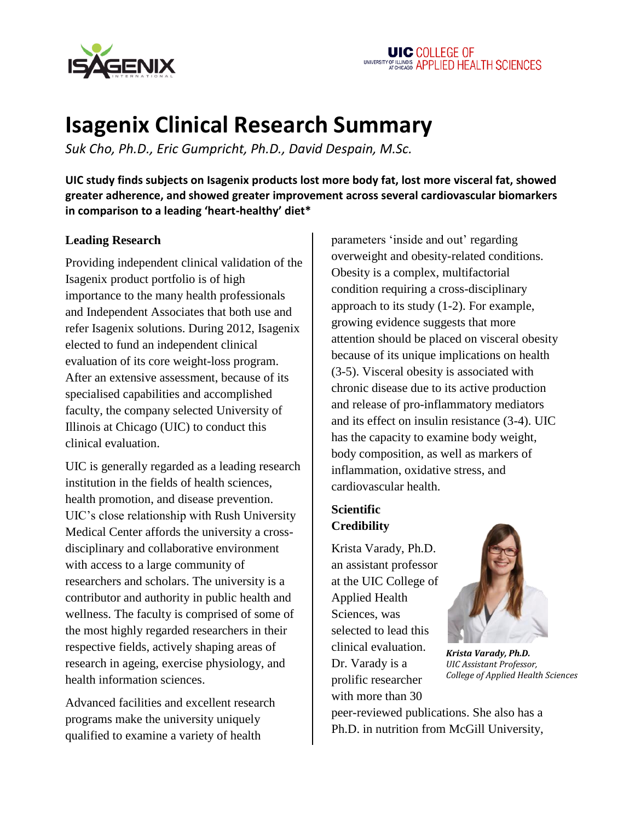

# **Isagenix Clinical Research Summary**

*Suk Cho, Ph.D., Eric Gumpricht, Ph.D., David Despain, M.Sc.*

**UIC study finds subjects on Isagenix products lost more body fat, lost more visceral fat, showed greater adherence, and showed greater improvement across several cardiovascular biomarkers in comparison to a leading 'heart-healthy' diet\***

# **Leading Research**

Providing independent clinical validation of the Isagenix product portfolio is of high importance to the many health professionals and Independent Associates that both use and refer Isagenix solutions. During 2012, Isagenix elected to fund an independent clinical evaluation of its core weight-loss program. After an extensive assessment, because of its specialised capabilities and accomplished faculty, the company selected University of Illinois at Chicago (UIC) to conduct this clinical evaluation.

UIC is generally regarded as a leading research institution in the fields of health sciences, health promotion, and disease prevention. UIC's close relationship with Rush University Medical Center affords the university a crossdisciplinary and collaborative environment with access to a large community of researchers and scholars. The university is a contributor and authority in public health and wellness. The faculty is comprised of some of the most highly regarded researchers in their respective fields, actively shaping areas of research in ageing, exercise physiology, and health information sciences.

Advanced facilities and excellent research programs make the university uniquely qualified to examine a variety of health

parameters ‗inside and out' regarding overweight and obesity-related conditions. Obesity is a complex, multifactorial condition requiring a cross-disciplinary approach to its study (1-2). For example, growing evidence suggests that more attention should be placed on visceral obesity because of its unique implications on health (3-5). Visceral obesity is associated with chronic disease due to its active production and release of pro-inflammatory mediators and its effect on insulin resistance (3-4). UIC has the capacity to examine body weight, body composition, as well as markers of inflammation, oxidative stress, and cardiovascular health.

# **Scientific Credibility**

Krista Varady, Ph.D. an assistant professor at the UIC College of Applied Health Sciences, was selected to lead this clinical evaluation. Dr. Varady is a prolific researcher with more than 30



*Krista Varady, Ph.D. UIC Assistant Professor, College of Applied Health Sciences*

peer-reviewed publications. She also has a Ph.D. in nutrition from McGill University,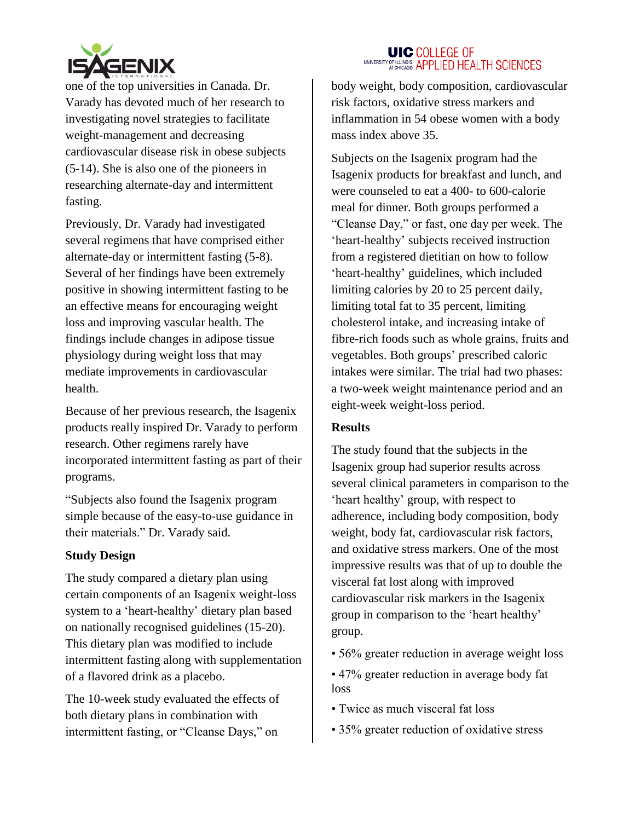

one of the top universities in Canada. Dr. Varady has devoted much of her research to investigating novel strategies to facilitate weight-management and decreasing cardiovascular disease risk in obese subjects (5-14). She is also one of the pioneers in researching alternate-day and intermittent fasting.

Previously, Dr. Varady had investigated several regimens that have comprised either alternate-day or intermittent fasting (5-8). Several of her findings have been extremely positive in showing intermittent fasting to be an effective means for encouraging weight loss and improving vascular health. The findings include changes in adipose tissue physiology during weight loss that may mediate improvements in cardiovascular health.

Because of her previous research, the Isagenix products really inspired Dr. Varady to perform research. Other regimens rarely have incorporated intermittent fasting as part of their programs.

―Subjects also found the Isagenix program simple because of the easy-to-use guidance in their materials." Dr. Varady said.

#### **Study Design**

The study compared a dietary plan using certain components of an Isagenix weight-loss system to a 'heart-healthy' dietary plan based on nationally recognised guidelines (15-20). This dietary plan was modified to include intermittent fasting along with supplementation of a flavored drink as a placebo.

The 10-week study evaluated the effects of both dietary plans in combination with intermittent fasting, or "Cleanse Days," on

#### **UIC COLLEGE OF** UNIVERSITY OF ILLINOIS APPLIED HEALTH SCIENCES

body weight, body composition, cardiovascular risk factors, oxidative stress markers and inflammation in 54 obese women with a body mass index above 35.

Subjects on the Isagenix program had the Isagenix products for breakfast and lunch, and were counseled to eat a 400- to 600-calorie meal for dinner. Both groups performed a ―Cleanse Day,‖ or fast, one day per week. The ‗heart-healthy' subjects received instruction from a registered dietitian on how to follow ‗heart-healthy' guidelines, which included limiting calories by 20 to 25 percent daily, limiting total fat to 35 percent, limiting cholesterol intake, and increasing intake of fibre-rich foods such as whole grains, fruits and vegetables. Both groups' prescribed caloric intakes were similar. The trial had two phases: a two-week weight maintenance period and an eight-week weight-loss period.

#### **Results**

The study found that the subjects in the Isagenix group had superior results across several clinical parameters in comparison to the ‗heart healthy' group, with respect to adherence, including body composition, body weight, body fat, cardiovascular risk factors, and oxidative stress markers. One of the most impressive results was that of up to double the visceral fat lost along with improved cardiovascular risk markers in the Isagenix group in comparison to the 'heart healthy' group.

- 56% greater reduction in average weight loss
- 47% greater reduction in average body fat loss
- Twice as much visceral fat loss
- 35% greater reduction of oxidative stress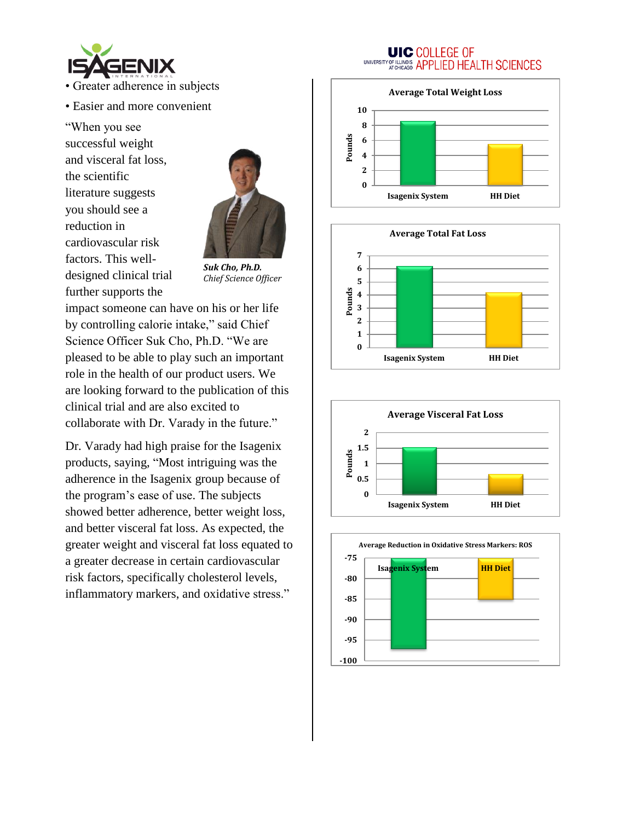

- Greater adherence in subjects
- Easier and more convenient

―When you see successful weight and visceral fat loss, the scientific literature suggests you should see a reduction in cardiovascular risk factors. This welldesigned clinical trial further supports the



*Suk Cho, Ph.D. Chief Science Officer*

impact someone can have on his or her life by controlling calorie intake," said Chief Science Officer Suk Cho, Ph.D. "We are pleased to be able to play such an important role in the health of our product users. We are looking forward to the publication of this clinical trial and are also excited to collaborate with Dr. Varady in the future."

Dr. Varady had high praise for the Isagenix products, saying, "Most intriguing was the adherence in the Isagenix group because of the program's ease of use. The subjects showed better adherence, better weight loss, and better visceral fat loss. As expected, the greater weight and visceral fat loss equated to a greater decrease in certain cardiovascular risk factors, specifically cholesterol levels, inflammatory markers, and oxidative stress."

## **UIC COLLEGE OF** UNIVERSITY OF ILLINOIS APPLIED HEALTH SCIENCES







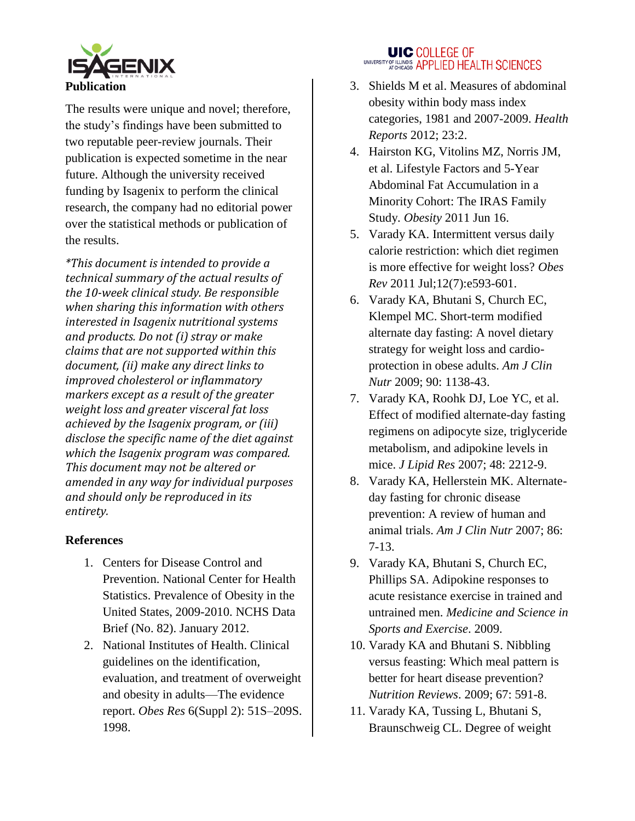

The results were unique and novel; therefore, the study's findings have been submitted to two reputable peer-review journals. Their publication is expected sometime in the near future. Although the university received funding by Isagenix to perform the clinical research, the company had no editorial power over the statistical methods or publication of the results.

*\*This document is intended to provide a technical summary of the actual results of the 10-week clinical study. Be responsible when sharing this information with others interested in Isagenix nutritional systems and products. Do not (i) stray or make claims that are not supported within this document, (ii) make any direct links to improved cholesterol or inflammatory markers except as a result of the greater weight loss and greater visceral fat loss achieved by the Isagenix program, or (iii) disclose the specific name of the diet against which the Isagenix program was compared. This document may not be altered or amended in any way for individual purposes and should only be reproduced in its entirety.* 

# **References**

- 1. Centers for Disease Control and Prevention. National Center for Health Statistics. Prevalence of Obesity in the United States, 2009-2010. NCHS Data Brief (No. 82). January 2012.
- 2. National Institutes of Health. Clinical guidelines on the identification, evaluation, and treatment of overweight and obesity in adults—The evidence report. *Obes Res* 6(Suppl 2): 51S–209S. 1998.

# **UIC COLLEGE OF** UNIVERSITY OF ILLINOIS APPLIED HEALTH SCIENCES

- 3. Shields M et al. Measures of abdominal obesity within body mass index categories, 1981 and 2007-2009. *Health Reports* 2012; 23:2.
- 4. Hairston KG, Vitolins MZ, Norris JM, et al. Lifestyle Factors and 5-Year Abdominal Fat Accumulation in a Minority Cohort: The IRAS Family Study. *Obesity* 2011 Jun 16.
- 5. Varady KA. Intermittent versus daily calorie restriction: which diet regimen is more effective for weight loss? *Obes Rev* 2011 Jul;12(7):e593-601.
- 6. Varady KA, Bhutani S, Church EC, Klempel MC. Short-term modified alternate day fasting: A novel dietary strategy for weight loss and cardioprotection in obese adults. *Am J Clin Nutr* 2009; 90: 1138-43.
- 7. Varady KA, Roohk DJ, Loe YC, et al. Effect of modified alternate-day fasting regimens on adipocyte size, triglyceride metabolism, and adipokine levels in mice. *J Lipid Res* 2007; 48: 2212-9.
- 8. Varady KA, Hellerstein MK. Alternateday fasting for chronic disease prevention: A review of human and animal trials. *Am J Clin Nutr* 2007; 86: 7-13.
- 9. Varady KA, Bhutani S, Church EC, Phillips SA. Adipokine responses to acute resistance exercise in trained and untrained men. *Medicine and Science in Sports and Exercise*. 2009.
- 10. Varady KA and Bhutani S. Nibbling versus feasting: Which meal pattern is better for heart disease prevention? *Nutrition Reviews*. 2009; 67: 591-8.
- 11. Varady KA, Tussing L, Bhutani S, Braunschweig CL. Degree of weight